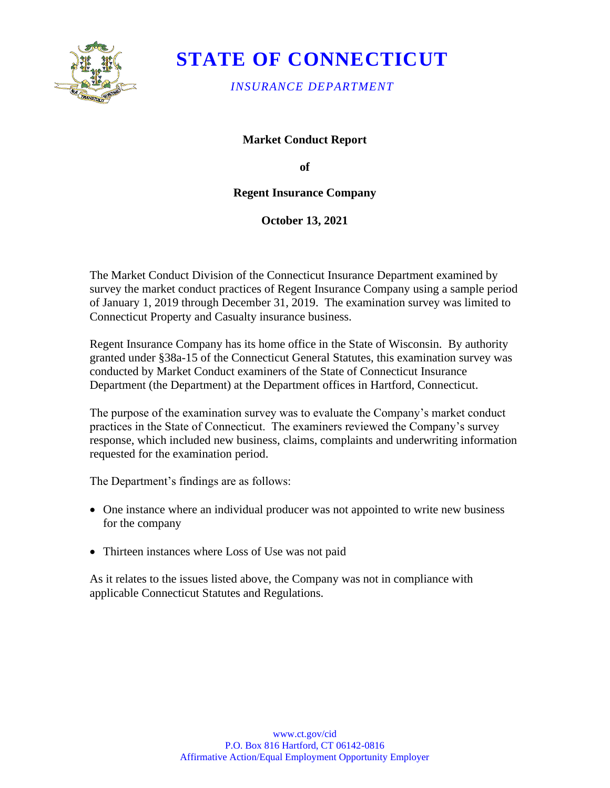

# **STATE OF CONNECTICUT**

*INSURANCE DEPARTMENT* 

**Market Conduct Report** 

**of** 

### **Regent Insurance Company**

**October 13, 2021** 

The Market Conduct Division of the Connecticut Insurance Department examined by survey the market conduct practices of Regent Insurance Company using a sample period of January 1, 2019 through December 31, 2019. The examination survey was limited to Connecticut Property and Casualty insurance business.

Regent Insurance Company has its home office in the State of Wisconsin. By authority granted under §38a-15 of the Connecticut General Statutes, this examination survey was conducted by Market Conduct examiners of the State of Connecticut Insurance Department (the Department) at the Department offices in Hartford, Connecticut.

The purpose of the examination survey was to evaluate the Company's market conduct practices in the State of Connecticut. The examiners reviewed the Company's survey response, which included new business, claims, complaints and underwriting information requested for the examination period.

The Department's findings are as follows:

- One instance where an individual producer was not appointed to write new business for the company
- Thirteen instances where Loss of Use was not paid

As it relates to the issues listed above, the Company was not in compliance with applicable Connecticut Statutes and Regulations.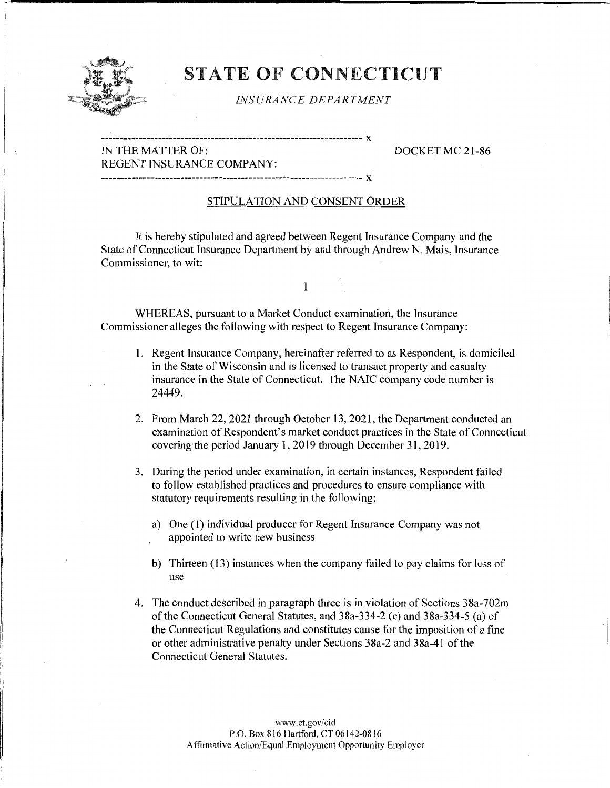

## STATE OF CONNECTICUT

#### *INSURANCE DEPARTMENT*

--------------------------------------------------------------------- **:x** 

#### IN THE MATTER OF: DOCKET MC 21-86 REGENT INSURANCE COMPANY:

--------------------------------------------------------------------- **:x** 

#### STIPULATION AND CONSENT ORDER

It is hereby stipulated and agreed between Regent Insurance Company and the State of Connecticut Insurance Department by and through Andrew N. Mais, Insurance Commissioner, to wit:

I

WHEREAS, pursuant to a Market Conduct examination, the Insurance Commissioner alleges the following with respect to Regent Insurance Company:

- 1. Regent Insurance Company, hereinafter referred to as Respondent, is domiciled in the State of Wisconsin and is licensed to transact property and casualty insurance in the State of Connecticut. The NAIC company code number is 24449.
- 2. From March 22, 2021 through October 13, 2021, the Department conducted an examination of Respondent's market conduct practices in the State of Connecticut covering the period January I, 2019 through December 31, 2019.
- 3. During the period under examination, in certain instances, Respondent failed to follow established practices and procedures to ensure compliance with statutory requirements resulting in the following:
	- a) One (I) individual producer for Regent Insurance Company was not appointed to write new business
	- b) Thirteen (13) instances when the company failed to pay claims for loss of use
- 4. The conduct described **in** paragraph three is in violation of Sections 38a-702m of the Connecticut General Statutes, and 38a-334-2 (c) and 38a-334-5 (a) of the Connecticut Regulations and constitutes cause for the imposition of a fine or other administrative penalty under Sections 38a-2 and 38a-41 of the Connecticut General Statutes.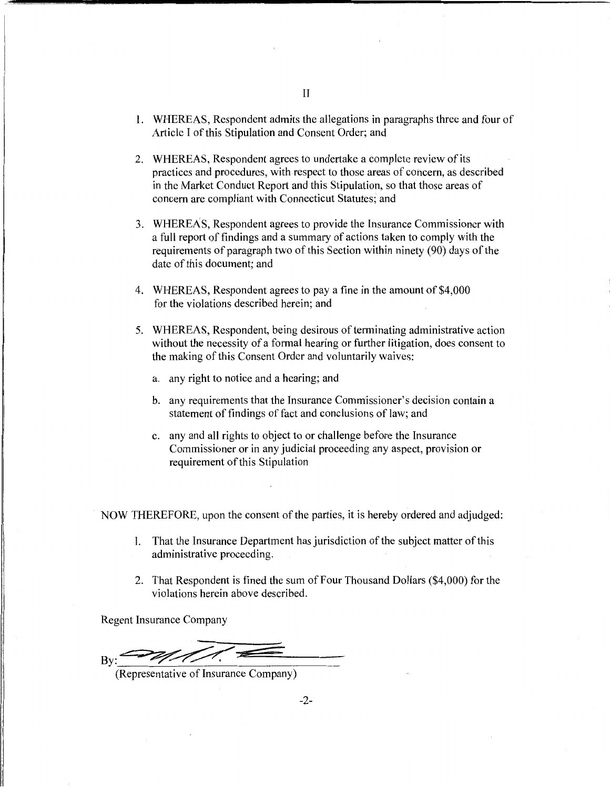- 2. WHEREAS, Respondent agrees to undertake a complete review of its practices and procedures, with respect to those areas of concern, as described in the Market Conduct Report and this Stipulation, so that those areas of concern are compliant with Connecticut Statutes; and
- 3. WHEREAS, Respondent agrees to provide the Insurance Commissioner with a full report of findings and a summary of actions taken to comply with the requirements of paragraph two of this Section within ninety (90) days of the date of this document; and
- 4. WHEREAS, Respondent agrees to pay a fine in the amount of \$4,000 for the violations described herein; and
- 5. WHEREAS, Respondent, being desirous of terminating administrative action without the necessity of a formal hearing or further litigation, does consent to the making of this Consent Order and voluntarily waives:
	- a. any right to notice and a hearing; and
	- b. any requirements that the Insurance Commissioner's decision contain a statement of findings of fact and conclusions of law; and
	- c. any and all rights to object to or challenge before the Insurance Commissioner or in any judicial proceeding any aspect, provision or requirement of this Stipulation

NOW THEREFORE, upon the consent of the parties, it is hereby ordered and adjudged:

- 1. That the Insurance Department has jurisdiction of the subject matter of this administrative proceeding.
- 2. That Respondent is fined the sum of Four Thousand Dollars (\$4,000) for the violations herein above described.

Regent Insurance Company

 $B_{\rm Y}$ :  $\rightarrow$   $M/M$ .

(Representative of Insurance Company)

II